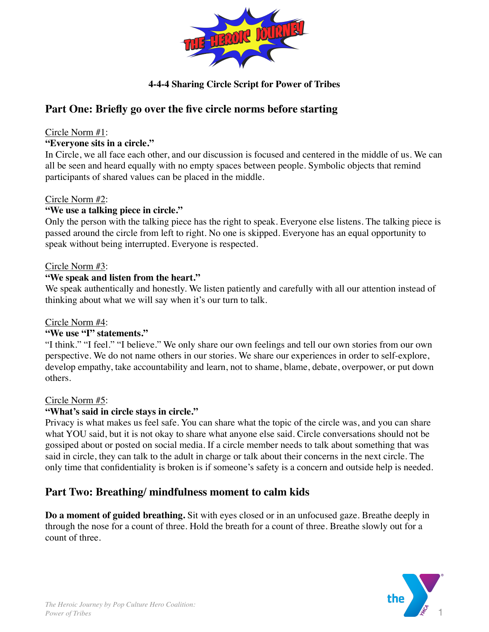

## **4-4-4 Sharing Circle Script for Power of Tribes**

# **Part One: Briefly go over the five circle norms before starting**

#### Circle Norm #1:

#### **"Everyone sits in a circle."**

In Circle, we all face each other, and our discussion is focused and centered in the middle of us. We can all be seen and heard equally with no empty spaces between people. Symbolic objects that remind participants of shared values can be placed in the middle.

## Circle Norm #2:

## **"We use a talking piece in circle."**

Only the person with the talking piece has the right to speak. Everyone else listens. The talking piece is passed around the circle from left to right. No one is skipped. Everyone has an equal opportunity to speak without being interrupted. Everyone is respected.

#### Circle Norm #3:

## **"We speak and listen from the heart."**

We speak authentically and honestly. We listen patiently and carefully with all our attention instead of thinking about what we will say when it's our turn to talk.

#### Circle Norm #4:

#### **"We use "I" statements."**

"I think." "I feel." "I believe." We only share our own feelings and tell our own stories from our own perspective. We do not name others in our stories. We share our experiences in order to self-explore, develop empathy, take accountability and learn, not to shame, blame, debate, overpower, or put down others.

#### Circle Norm #5:

#### **"What's said in circle stays in circle."**

Privacy is what makes us feel safe. You can share what the topic of the circle was, and you can share what YOU said, but it is not okay to share what anyone else said. Circle conversations should not be gossiped about or posted on social media. If a circle member needs to talk about something that was said in circle, they can talk to the adult in charge or talk about their concerns in the next circle. The only time that confidentiality is broken is if someone's safety is a concern and outside help is needed.

# **Part Two: Breathing/ mindfulness moment to calm kids**

**Do a moment of guided breathing.** Sit with eyes closed or in an unfocused gaze. Breathe deeply in through the nose for a count of three. Hold the breath for a count of three. Breathe slowly out for a count of three.